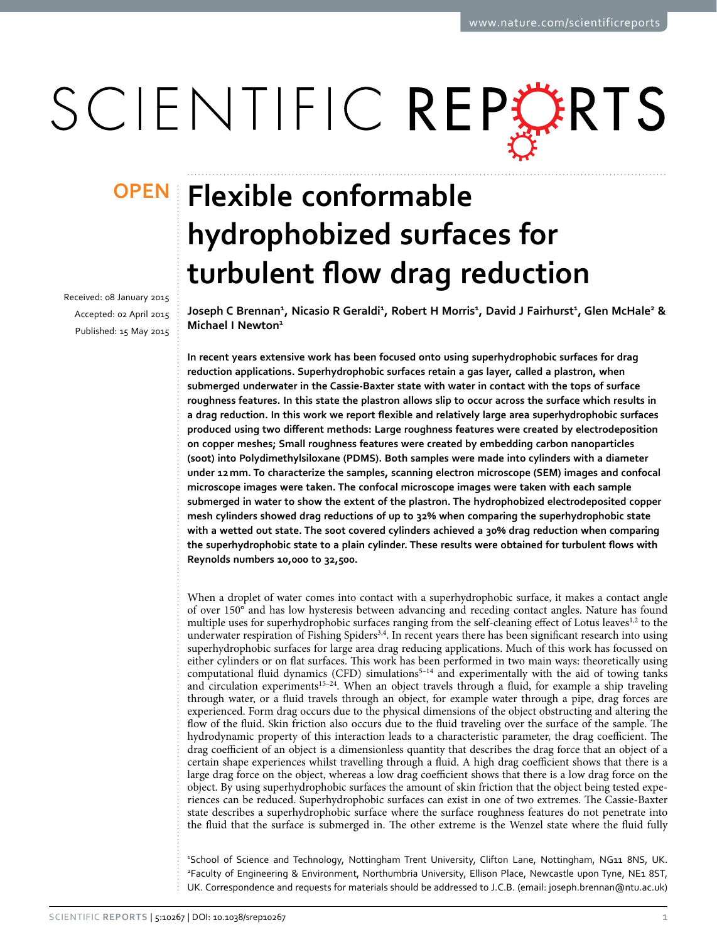# SCIENTIFIC REPERTS

received: 08 January 2015 accepted: 02 April 2015 Published: 15 May 2015

## **Flexible conformable OPENhydrophobized surfaces for turbulent flow drag reduction**

**Joseph C Brennan1 , Nicasio R Geraldi1 , Robert H Morris1 , David J Fairhurst1 , Glen McHale2 & Michael I Newton<sup>1</sup>**

**In recent years extensive work has been focused onto using superhydrophobic surfaces for drag reduction applications. Superhydrophobic surfaces retain a gas layer, called a plastron, when submerged underwater in the Cassie-Baxter state with water in contact with the tops of surface roughness features. In this state the plastron allows slip to occur across the surface which results in a drag reduction. In this work we report flexible and relatively large area superhydrophobic surfaces produced using two different methods: Large roughness features were created by electrodeposition on copper meshes; Small roughness features were created by embedding carbon nanoparticles (soot) into Polydimethylsiloxane (PDMS). Both samples were made into cylinders with a diameter under 12mm. To characterize the samples, scanning electron microscope (SEM) images and confocal microscope images were taken. The confocal microscope images were taken with each sample submerged in water to show the extent of the plastron. The hydrophobized electrodeposited copper mesh cylinders showed drag reductions of up to 32% when comparing the superhydrophobic state with a wetted out state. The soot covered cylinders achieved a 30% drag reduction when comparing the superhydrophobic state to a plain cylinder. These results were obtained for turbulent flows with Reynolds numbers 10,000 to 32,500.**

When a droplet of water comes into contact with a superhydrophobic surface, it makes a contact angle of over 150° and has low hysteresis between advancing and receding contact angles. Nature has found multiple uses for superhydrophobic surfaces ranging from the self-cleaning effect of Lotus leaves<sup>[1,](#page-7-0)[2](#page-7-1)</sup> to the underwater respiration of Fishing Spiders[3,](#page-7-2)[4.](#page-7-3) In recent years there has been significant research into using superhydrophobic surfaces for large area drag reducing applications. Much of this work has focussed on either cylinders or on flat surfaces. This work has been performed in two main ways: theoretically using computational fluid dynamics (CFD) simulations<sup>5-14</sup> and experimentally with the aid of towing tanks and circulation experiments<sup>15–24</sup>. When an object travels through a fluid, for example a ship traveling through water, or a fluid travels through an object, for example water through a pipe, drag forces are experienced. Form drag occurs due to the physical dimensions of the object obstructing and altering the flow of the fluid. Skin friction also occurs due to the fluid traveling over the surface of the sample. The hydrodynamic property of this interaction leads to a characteristic parameter, the drag coefficient. The drag coefficient of an object is a dimensionless quantity that describes the drag force that an object of a certain shape experiences whilst travelling through a fluid. A high drag coefficient shows that there is a large drag force on the object, whereas a low drag coefficient shows that there is a low drag force on the object. By using superhydrophobic surfaces the amount of skin friction that the object being tested experiences can be reduced. Superhydrophobic surfaces can exist in one of two extremes. The Cassie-Baxter state describes a superhydrophobic surface where the surface roughness features do not penetrate into the fluid that the surface is submerged in. The other extreme is the Wenzel state where the fluid fully

1 School of Science and Technology, Nottingham Trent University, Clifton Lane, Nottingham, NG11 8NS, UK. 2 Faculty of Engineering & Environment, Northumbria University, Ellison Place, Newcastle upon Tyne, NE1 8ST, UK. Correspondence and requests for materials should be addressed to J.C.B. (email: [joseph.brennan@ntu.ac.uk](mailto:joseph.brennan@ntu.ac.uk))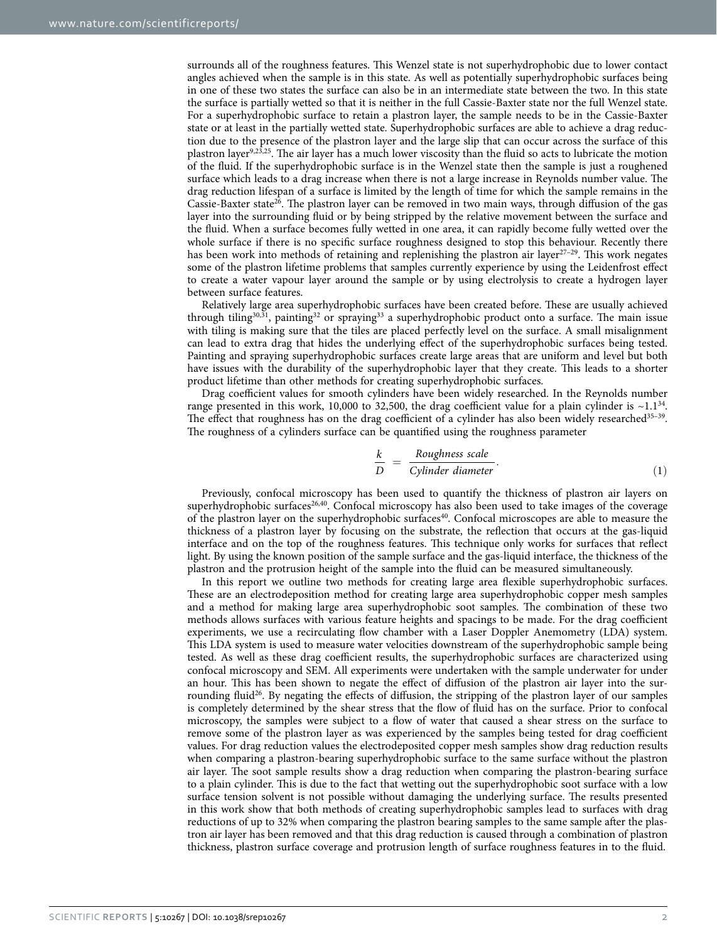surrounds all of the roughness features. This Wenzel state is not superhydrophobic due to lower contact angles achieved when the sample is in this state. As well as potentially superhydrophobic surfaces being in one of these two states the surface can also be in an intermediate state between the two. In this state the surface is partially wetted so that it is neither in the full Cassie-Baxter state nor the full Wenzel state. For a superhydrophobic surface to retain a plastron layer, the sample needs to be in the Cassie-Baxter state or at least in the partially wetted state. Superhydrophobic surfaces are able to achieve a drag reduction due to the presence of the plastron layer and the large slip that can occur across the surface of this plastron layer[9,](#page-7-6)[23](#page-7-7)[,25](#page-8-0). The air layer has a much lower viscosity than the fluid so acts to lubricate the motion of the fluid. If the superhydrophobic surface is in the Wenzel state then the sample is just a roughened surface which leads to a drag increase when there is not a large increase in Reynolds number value. The drag reduction lifespan of a surface is limited by the length of time for which the sample remains in the Cassie-Baxter state<sup>26</sup>. The plastron layer can be removed in two main ways, through diffusion of the gas layer into the surrounding fluid or by being stripped by the relative movement between the surface and the fluid. When a surface becomes fully wetted in one area, it can rapidly become fully wetted over the whole surface if there is no specific surface roughness designed to stop this behaviour. Recently there has been work into methods of retaining and replenishing the plastron air layer<sup>[27–29](#page-8-2)</sup>. This work negates some of the plastron lifetime problems that samples currently experience by using the Leidenfrost effect to create a water vapour layer around the sample or by using electrolysis to create a hydrogen layer between surface features.

Relatively large area superhydrophobic surfaces have been created before. These are usually achieved through tiling<sup>[30,](#page-8-3)31</sup>, painting<sup>32</sup> or spraying<sup>33</sup> a superhydrophobic product onto a surface. The main issue with tiling is making sure that the tiles are placed perfectly level on the surface. A small misalignment can lead to extra drag that hides the underlying effect of the superhydrophobic surfaces being tested. Painting and spraying superhydrophobic surfaces create large areas that are uniform and level but both have issues with the durability of the superhydrophobic layer that they create. This leads to a shorter product lifetime than other methods for creating superhydrophobic surfaces.

Drag coefficient values for smooth cylinders have been widely researched. In the Reynolds number range presented in this work, 10,000 to 32,500, the drag coefficient value for a plain cylinder is  $\sim 1.1^{34}$  $\sim 1.1^{34}$  $\sim 1.1^{34}$ . The effect that roughness has on the drag coefficient of a cylinder has also been widely researched<sup>35-39</sup>. The roughness of a cylinders surface can be quantified using the roughness parameter

$$
\frac{k}{D} = \frac{Roughness scale}{Cylinder diameter}.
$$
\n(1)

Previously, confocal microscopy has been used to quantify the thickness of plastron air layers on superhydrophobic surfaces<sup>26,40</sup>. Confocal microscopy has also been used to take images of the coverage of the plastron layer on the superhydrophobic surfaces<sup>40</sup>. Confocal microscopes are able to measure the thickness of a plastron layer by focusing on the substrate, the reflection that occurs at the gas-liquid interface and on the top of the roughness features. This technique only works for surfaces that reflect light. By using the known position of the sample surface and the gas-liquid interface, the thickness of the plastron and the protrusion height of the sample into the fluid can be measured simultaneously.

In this report we outline two methods for creating large area flexible superhydrophobic surfaces. These are an electrodeposition method for creating large area superhydrophobic copper mesh samples and a method for making large area superhydrophobic soot samples. The combination of these two methods allows surfaces with various feature heights and spacings to be made. For the drag coefficient experiments, we use a recirculating flow chamber with a Laser Doppler Anemometry (LDA) system. This LDA system is used to measure water velocities downstream of the superhydrophobic sample being tested. As well as these drag coefficient results, the superhydrophobic surfaces are characterized using confocal microscopy and SEM. All experiments were undertaken with the sample underwater for under an hour. This has been shown to negate the effect of diffusion of the plastron air layer into the surrounding fluid<sup>26</sup>. By negating the effects of diffusion, the stripping of the plastron layer of our samples is completely determined by the shear stress that the flow of fluid has on the surface. Prior to confocal microscopy, the samples were subject to a flow of water that caused a shear stress on the surface to remove some of the plastron layer as was experienced by the samples being tested for drag coefficient values. For drag reduction values the electrodeposited copper mesh samples show drag reduction results when comparing a plastron-bearing superhydrophobic surface to the same surface without the plastron air layer. The soot sample results show a drag reduction when comparing the plastron-bearing surface to a plain cylinder. This is due to the fact that wetting out the superhydrophobic soot surface with a low surface tension solvent is not possible without damaging the underlying surface. The results presented in this work show that both methods of creating superhydrophobic samples lead to surfaces with drag reductions of up to 32% when comparing the plastron bearing samples to the same sample after the plastron air layer has been removed and that this drag reduction is caused through a combination of plastron thickness, plastron surface coverage and protrusion length of surface roughness features in to the fluid.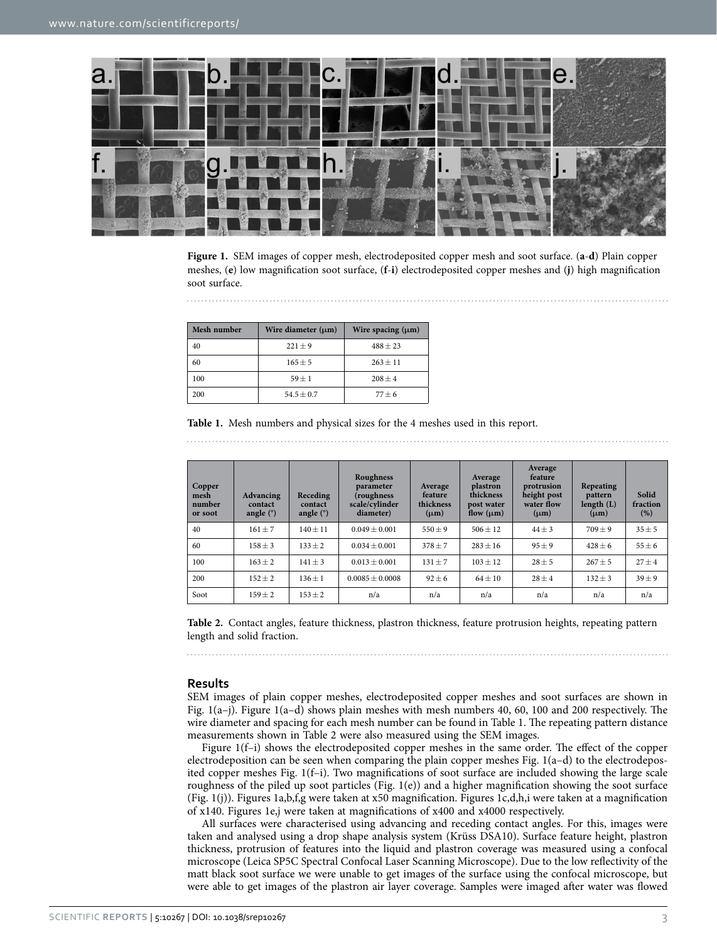

<span id="page-2-0"></span>**Figure 1.** SEM images of copper mesh, electrodeposited copper mesh and soot surface. (**a**-**d**) Plain copper meshes, (**e**) low magnification soot surface, (**f**-**i**) electrodeposited copper meshes and (**j**) high magnification soot surface.

<span id="page-2-1"></span>

| Mesh number | Wire diameter $(\mu m)$ | Wire spacing $(\mu m)$ |  |  |
|-------------|-------------------------|------------------------|--|--|
| 40          | $221 + 9$               | $488 + 23$             |  |  |
| 60          | $165 + 5$               | $263 + 11$             |  |  |
| 100         | $59 + 1$                | $208 + 4$              |  |  |
| 200         | $54.5 + 0.7$            | $77 + 6$               |  |  |

**Table 1.** Mesh numbers and physical sizes for the 4 meshes used in this report. 

<span id="page-2-2"></span>

| Copper<br>mesh<br>number<br>or soot | Advancing<br>contact<br>angle $(°)$ | Receding<br>contact<br>angle $(°)$ | Roughness<br>parameter<br>(roughness<br>scale/cylinder<br>diameter) | Average<br>feature<br>thickness<br>$(\mu m)$ | Average<br>plastron<br>thickness<br>post water<br>flow $(\mu m)$ | Average<br>feature<br>protrusion<br>height post<br>water flow<br>$(\mu m)$ | Repeating<br>pattern<br>length $(L)$<br>$(\mu m)$ | Solid<br>fraction<br>(% ) |
|-------------------------------------|-------------------------------------|------------------------------------|---------------------------------------------------------------------|----------------------------------------------|------------------------------------------------------------------|----------------------------------------------------------------------------|---------------------------------------------------|---------------------------|
| 40                                  | $161 + 7$                           | $140 \pm 11$                       | $0.049 \pm 0.001$                                                   | $550 \pm 9$                                  | $506 \pm 12$                                                     | $44 \pm 3$                                                                 | $709 + 9$                                         | $35 \pm 5$                |
| 60                                  | $158 \pm 3$                         | $133 + 2$                          | $0.034 \pm 0.001$                                                   | $378 \pm 7$                                  | $283 \pm 16$                                                     | $95 + 9$                                                                   | $428 + 6$                                         | $55 \pm 6$                |
| 100                                 | $163 + 2$                           | $141 \pm 3$                        | $0.013 \pm 0.001$                                                   | $131 \pm 7$                                  | $103 \pm 12$                                                     | $28 + 5$                                                                   | $267 + 5$                                         | $27 + 4$                  |
| 200                                 | $152 \pm 2$                         | $136 \pm 1$                        | $0.0085 \pm 0.0008$                                                 | $92 \pm 6$                                   | $64 \pm 10$                                                      | $28 \pm 4$                                                                 | $132 \pm 3$                                       | $39 \pm 9$                |
| Soot                                | $159 \pm 2$                         | $153 \pm 2$                        | n/a                                                                 | n/a                                          | n/a                                                              | n/a                                                                        | n/a                                               | n/a                       |

**Table 2.** Contact angles, feature thickness, plastron thickness, feature protrusion heights, repeating pattern length and solid fraction.

#### **Results**

SEM images of plain copper meshes, electrodeposited copper meshes and soot surfaces are shown in [Fig. 1\(a–j\)](#page-2-0). [Figure 1\(a–d\)](#page-2-0) shows plain meshes with mesh numbers 40, 60, 100 and 200 respectively. The wire diameter and spacing for each mesh number can be found in [Table 1.](#page-2-1) The repeating pattern distance measurements shown in [Table 2](#page-2-2) were also measured using the SEM images.

[Figure 1\(f–i\)](#page-2-0) shows the electrodeposited copper meshes in the same order. The effect of the copper electrodeposition can be seen when comparing the plain copper meshes [Fig. 1\(a–d\)](#page-2-0) to the electrodeposited copper meshes [Fig. 1\(f–i\).](#page-2-0) Two magnifications of soot surface are included showing the large scale roughness of the piled up soot particles ([Fig. 1\(e\)](#page-2-0)) and a higher magnification showing the soot surface ([Fig. 1\(j\)](#page-2-0)). [Figures 1a,b,f,g](#page-2-0) were taken at x50 magnification. [Figures 1c,d,h,i](#page-2-0) were taken at a magnification of x140. [Figures 1e,j](#page-2-0) were taken at magnifications of x400 and x4000 respectively.

All surfaces were characterised using advancing and receding contact angles. For this, images were taken and analysed using a drop shape analysis system (Krüss DSA10). Surface feature height, plastron thickness, protrusion of features into the liquid and plastron coverage was measured using a confocal microscope (Leica SP5C Spectral Confocal Laser Scanning Microscope). Due to the low reflectivity of the matt black soot surface we were unable to get images of the surface using the confocal microscope, but were able to get images of the plastron air layer coverage. Samples were imaged after water was flowed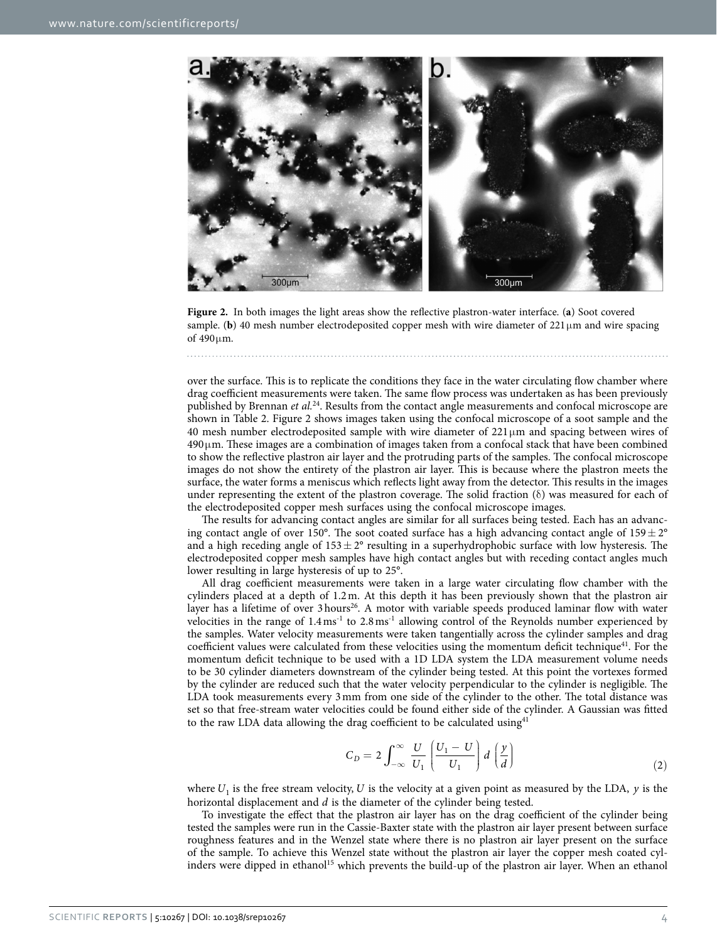

<span id="page-3-0"></span>**Figure 2.** In both images the light areas show the reflective plastron-water interface. (**a**) Soot covered sample. (**b**) 40 mesh number electrodeposited copper mesh with wire diameter of 221  $\mu$ m and wire spacing of 490μm.

over the surface. This is to replicate the conditions they face in the water circulating flow chamber where drag coefficient measurements were taken. The same flow process was undertaken as has been previously published by Brennan *et al.*[24.](#page-8-10) Results from the contact angle measurements and confocal microscope are shown in [Table 2](#page-2-2). [Figure 2](#page-3-0) shows images taken using the confocal microscope of a soot sample and the 40 mesh number electrodeposited sample with wire diameter of  $221 \mu m$  and spacing between wires of 490μm. These images are a combination of images taken from a confocal stack that have been combined to show the reflective plastron air layer and the protruding parts of the samples. The confocal microscope images do not show the entirety of the plastron air layer. This is because where the plastron meets the surface, the water forms a meniscus which reflects light away from the detector. This results in the images under representing the extent of the plastron coverage. The solid fraction  $(\delta)$  was measured for each of the electrodeposited copper mesh surfaces using the confocal microscope images.

The results for advancing contact angles are similar for all surfaces being tested. Each has an advancing contact angle of over 150°. The soot coated surface has a high advancing contact angle of 159 $\pm$  2° and a high receding angle of  $153 \pm 2^{\circ}$  resulting in a superhydrophobic surface with low hysteresis. The electrodeposited copper mesh samples have high contact angles but with receding contact angles much lower resulting in large hysteresis of up to 25°.

All drag coefficient measurements were taken in a large water circulating flow chamber with the cylinders placed at a depth of 1.2m. At this depth it has been previously shown that the plastron air layer has a lifetime of over 3 hours<sup>26</sup>. A motor with variable speeds produced laminar flow with water velocities in the range of 1.4ms-1 to 2.8ms-1 allowing control of the Reynolds number experienced by the samples. Water velocity measurements were taken tangentially across the cylinder samples and drag coefficient values were calculated from these velocities using the momentum deficit technique<sup>41</sup>. For the momentum deficit technique to be used with a 1D LDA system the LDA measurement volume needs to be 30 cylinder diameters downstream of the cylinder being tested. At this point the vortexes formed by the cylinder are reduced such that the water velocity perpendicular to the cylinder is negligible. The LDA took measurements every 3mm from one side of the cylinder to the other. The total distance was set so that free-stream water velocities could be found either side of the cylinder. A Gaussian was fitted to the raw LDA data allowing the drag coefficient to be calculated using  $4^4$ 

$$
C_D = 2 \int_{-\infty}^{\infty} \frac{U}{U_1} \left( \frac{U_1 - U}{U_1} \right) d \left( \frac{y}{d} \right)
$$
 (2)

where  $U_1$  is the free stream velocity,  $U$  is the velocity at a given point as measured by the LDA,  $y$  is the horizontal displacement and *d* is the diameter of the cylinder being tested.

To investigate the effect that the plastron air layer has on the drag coefficient of the cylinder being tested the samples were run in the Cassie-Baxter state with the plastron air layer present between surface roughness features and in the Wenzel state where there is no plastron air layer present on the surface of the sample. To achieve this Wenzel state without the plastron air layer the copper mesh coated cyl-inders were dipped in ethanol<sup>[15](#page-7-5)</sup> which prevents the build-up of the plastron air layer. When an ethanol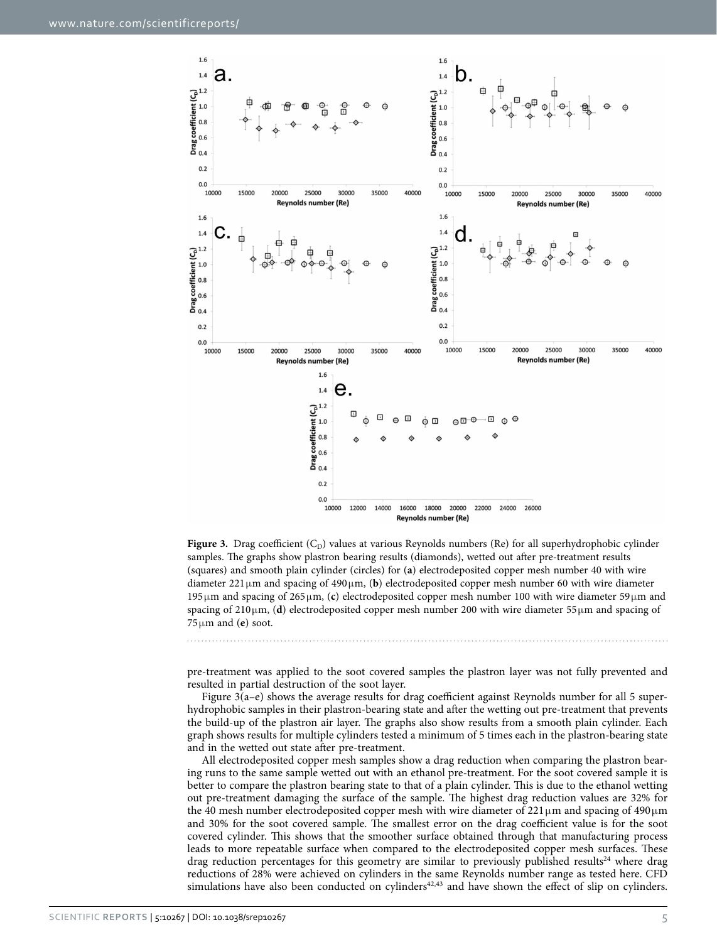

<span id="page-4-0"></span>Figure 3. Drag coefficient (C<sub>D</sub>) values at various Reynolds numbers (Re) for all superhydrophobic cylinder samples. The graphs show plastron bearing results (diamonds), wetted out after pre-treatment results (squares) and smooth plain cylinder (circles) for (**a**) electrodeposited copper mesh number 40 with wire diameter 221μm and spacing of 490μm, (**b**) electrodeposited copper mesh number 60 with wire diameter 195μm and spacing of 265μm, (**c**) electrodeposited copper mesh number 100 with wire diameter 59μm and spacing of 210μm, (**d**) electrodeposited copper mesh number 200 with wire diameter 55μm and spacing of 75μm and (**e**) soot.

pre-treatment was applied to the soot covered samples the plastron layer was not fully prevented and resulted in partial destruction of the soot layer.

[Figure 3\(a–e\)](#page-4-0) shows the average results for drag coefficient against Reynolds number for all 5 superhydrophobic samples in their plastron-bearing state and after the wetting out pre-treatment that prevents the build-up of the plastron air layer. The graphs also show results from a smooth plain cylinder. Each graph shows results for multiple cylinders tested a minimum of 5 times each in the plastron-bearing state and in the wetted out state after pre-treatment.

All electrodeposited copper mesh samples show a drag reduction when comparing the plastron bearing runs to the same sample wetted out with an ethanol pre-treatment. For the soot covered sample it is better to compare the plastron bearing state to that of a plain cylinder. This is due to the ethanol wetting out pre-treatment damaging the surface of the sample. The highest drag reduction values are 32% for the 40 mesh number electrodeposited copper mesh with wire diameter of  $221 \,\mu m$  and spacing of  $490 \,\mu m$ and 30% for the soot covered sample. The smallest error on the drag coefficient value is for the soot covered cylinder. This shows that the smoother surface obtained through that manufacturing process leads to more repeatable surface when compared to the electrodeposited copper mesh surfaces. These drag reduction percentages for this geometry are similar to previously published results<sup>24</sup> where drag reductions of 28% were achieved on cylinders in the same Reynolds number range as tested here. CFD simulations have also been conducted on cylinders $42,43$  $42,43$  and have shown the effect of slip on cylinders.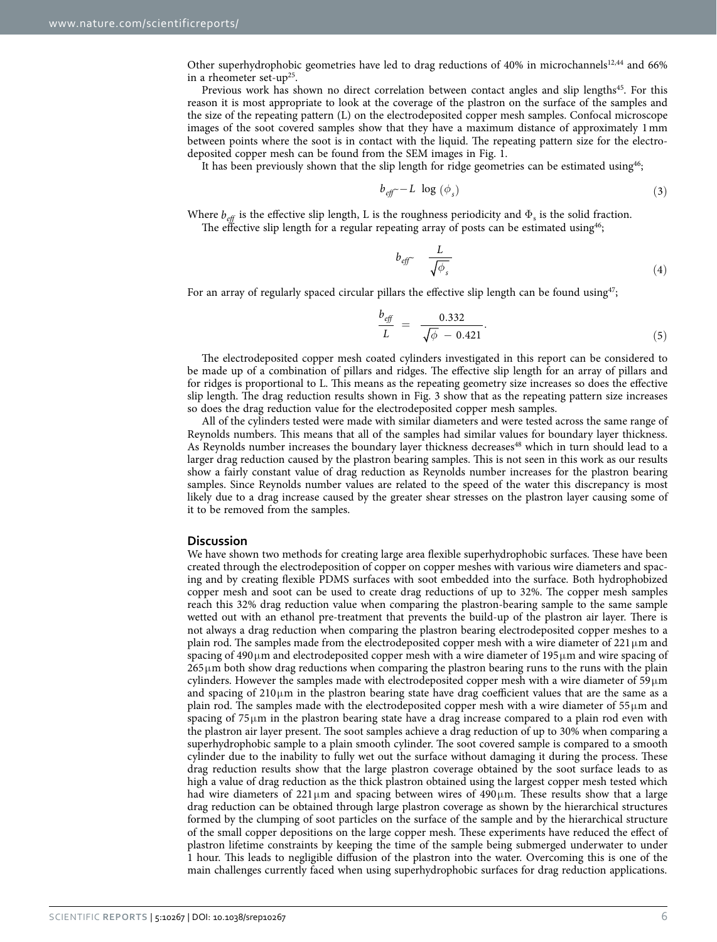Other superhydrophobic geometries have led to drag reductions of 40% in microchannels<sup>[12,](#page-7-8)44</sup> and 66% in a rheometer set-up<sup>25</sup>.

Previous work has shown no direct correlation between contact angles and slip lengths<sup>45</sup>. For this reason it is most appropriate to look at the coverage of the plastron on the surface of the samples and the size of the repeating pattern (L) on the electrodeposited copper mesh samples. Confocal microscope images of the soot covered samples show that they have a maximum distance of approximately 1mm between points where the soot is in contact with the liquid. The repeating pattern size for the electrodeposited copper mesh can be found from the SEM images in [Fig. 1.](#page-2-0)

It has been previously shown that the slip length for ridge geometries can be estimated using $46$ ;

$$
b_{\text{eff}} \sim -L \log \left( \phi_s \right) \tag{3}
$$

Where  $b_{\text{eff}}$  is the effective slip length, L is the roughness periodicity and  $\Phi_s$  is the solid fraction. The effective slip length for a regular repeating array of posts can be estimated using<sup>46</sup>;

$$
b_{\text{eff}} \sim \frac{L}{\sqrt{\phi_s}} \tag{4}
$$

For an array of regularly spaced circular pillars the effective slip length can be found using $47$ ;

$$
\frac{b_{\text{eff}}}{L} = \frac{0.332}{\sqrt{\phi} - 0.421}.
$$
\n(5)

The electrodeposited copper mesh coated cylinders investigated in this report can be considered to be made up of a combination of pillars and ridges. The effective slip length for an array of pillars and for ridges is proportional to L. This means as the repeating geometry size increases so does the effective slip length. The drag reduction results shown in [Fig. 3](#page-4-0) show that as the repeating pattern size increases so does the drag reduction value for the electrodeposited copper mesh samples.

All of the cylinders tested were made with similar diameters and were tested across the same range of Reynolds numbers. This means that all of the samples had similar values for boundary layer thickness. As Reynolds number increases the boundary layer thickness decreases<sup>48</sup> which in turn should lead to a larger drag reduction caused by the plastron bearing samples. This is not seen in this work as our results show a fairly constant value of drag reduction as Reynolds number increases for the plastron bearing samples. Since Reynolds number values are related to the speed of the water this discrepancy is most likely due to a drag increase caused by the greater shear stresses on the plastron layer causing some of it to be removed from the samples.

#### **Discussion**

We have shown two methods for creating large area flexible superhydrophobic surfaces. These have been created through the electrodeposition of copper on copper meshes with various wire diameters and spacing and by creating flexible PDMS surfaces with soot embedded into the surface. Both hydrophobized copper mesh and soot can be used to create drag reductions of up to 32%. The copper mesh samples reach this 32% drag reduction value when comparing the plastron-bearing sample to the same sample wetted out with an ethanol pre-treatment that prevents the build-up of the plastron air layer. There is not always a drag reduction when comparing the plastron bearing electrodeposited copper meshes to a plain rod. The samples made from the electrodeposited copper mesh with a wire diameter of  $221 \mu m$  and spacing of  $490 \mu$ m and electrodeposited copper mesh with a wire diameter of  $195 \mu$ m and wire spacing of 265μm both show drag reductions when comparing the plastron bearing runs to the runs with the plain cylinders. However the samples made with electrodeposited copper mesh with a wire diameter of 59μm and spacing of 210μm in the plastron bearing state have drag coefficient values that are the same as a plain rod. The samples made with the electrodeposited copper mesh with a wire diameter of 55μm and spacing of 75μm in the plastron bearing state have a drag increase compared to a plain rod even with the plastron air layer present. The soot samples achieve a drag reduction of up to 30% when comparing a superhydrophobic sample to a plain smooth cylinder. The soot covered sample is compared to a smooth cylinder due to the inability to fully wet out the surface without damaging it during the process. These drag reduction results show that the large plastron coverage obtained by the soot surface leads to as high a value of drag reduction as the thick plastron obtained using the largest copper mesh tested which had wire diameters of  $221 \mu m$  and spacing between wires of  $490 \mu m$ . These results show that a large drag reduction can be obtained through large plastron coverage as shown by the hierarchical structures formed by the clumping of soot particles on the surface of the sample and by the hierarchical structure of the small copper depositions on the large copper mesh. These experiments have reduced the effect of plastron lifetime constraints by keeping the time of the sample being submerged underwater to under 1 hour. This leads to negligible diffusion of the plastron into the water. Overcoming this is one of the main challenges currently faced when using superhydrophobic surfaces for drag reduction applications.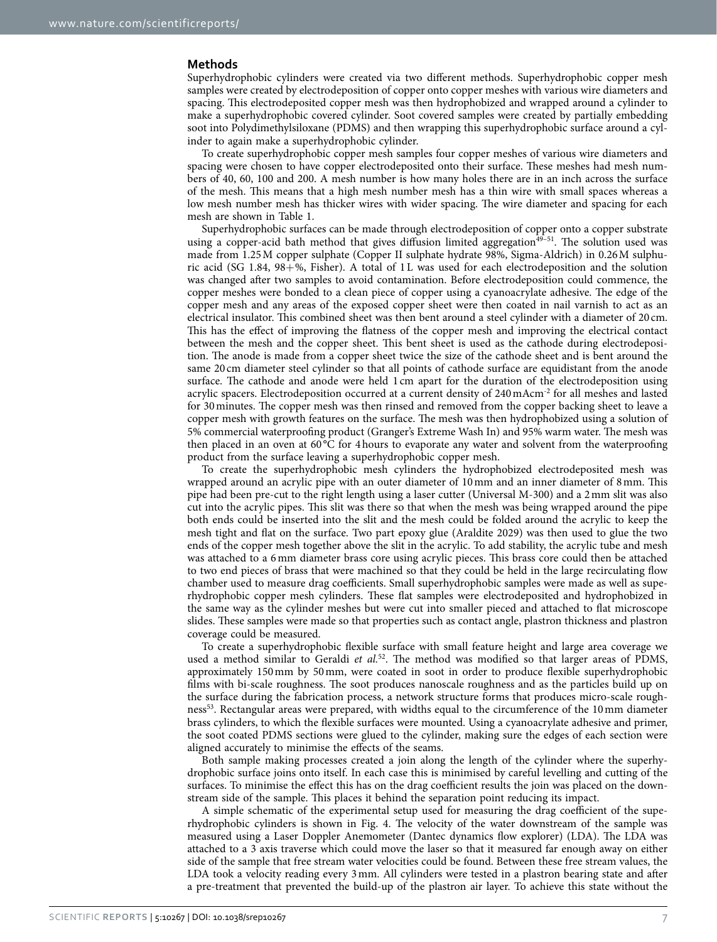#### **Methods**

Superhydrophobic cylinders were created via two different methods. Superhydrophobic copper mesh samples were created by electrodeposition of copper onto copper meshes with various wire diameters and spacing. This electrodeposited copper mesh was then hydrophobized and wrapped around a cylinder to make a superhydrophobic covered cylinder. Soot covered samples were created by partially embedding soot into Polydimethylsiloxane (PDMS) and then wrapping this superhydrophobic surface around a cylinder to again make a superhydrophobic cylinder.

To create superhydrophobic copper mesh samples four copper meshes of various wire diameters and spacing were chosen to have copper electrodeposited onto their surface. These meshes had mesh numbers of 40, 60, 100 and 200. A mesh number is how many holes there are in an inch across the surface of the mesh. This means that a high mesh number mesh has a thin wire with small spaces whereas a low mesh number mesh has thicker wires with wider spacing. The wire diameter and spacing for each mesh are shown in [Table 1.](#page-2-1)

Superhydrophobic surfaces can be made through electrodeposition of copper onto a copper substrate using a copper-acid bath method that gives diffusion limited aggregation $49-51$ . The solution used was made from 1.25M copper sulphate (Copper II sulphate hydrate 98%, Sigma-Aldrich) in 0.26M sulphuric acid (SG 1.84, 98+%, Fisher). A total of 1L was used for each electrodeposition and the solution was changed after two samples to avoid contamination. Before electrodeposition could commence, the copper meshes were bonded to a clean piece of copper using a cyanoacrylate adhesive. The edge of the copper mesh and any areas of the exposed copper sheet were then coated in nail varnish to act as an electrical insulator. This combined sheet was then bent around a steel cylinder with a diameter of 20 cm. This has the effect of improving the flatness of the copper mesh and improving the electrical contact between the mesh and the copper sheet. This bent sheet is used as the cathode during electrodeposition. The anode is made from a copper sheet twice the size of the cathode sheet and is bent around the same 20 cm diameter steel cylinder so that all points of cathode surface are equidistant from the anode surface. The cathode and anode were held 1 cm apart for the duration of the electrodeposition using acrylic spacers. Electrodeposition occurred at a current density of 240mAcm-2 for all meshes and lasted for 30minutes. The copper mesh was then rinsed and removed from the copper backing sheet to leave a copper mesh with growth features on the surface. The mesh was then hydrophobized using a solution of 5% commercial waterproofing product (Granger's Extreme Wash In) and 95% warm water. The mesh was then placed in an oven at 60 °C for 4hours to evaporate any water and solvent from the waterproofing product from the surface leaving a superhydrophobic copper mesh.

To create the superhydrophobic mesh cylinders the hydrophobized electrodeposited mesh was wrapped around an acrylic pipe with an outer diameter of 10mm and an inner diameter of 8mm. This pipe had been pre-cut to the right length using a laser cutter (Universal M-300) and a 2mm slit was also cut into the acrylic pipes. This slit was there so that when the mesh was being wrapped around the pipe both ends could be inserted into the slit and the mesh could be folded around the acrylic to keep the mesh tight and flat on the surface. Two part epoxy glue (Araldite 2029) was then used to glue the two ends of the copper mesh together above the slit in the acrylic. To add stability, the acrylic tube and mesh was attached to a 6mm diameter brass core using acrylic pieces. This brass core could then be attached to two end pieces of brass that were machined so that they could be held in the large recirculating flow chamber used to measure drag coefficients. Small superhydrophobic samples were made as well as superhydrophobic copper mesh cylinders. These flat samples were electrodeposited and hydrophobized in the same way as the cylinder meshes but were cut into smaller pieced and attached to flat microscope slides. These samples were made so that properties such as contact angle, plastron thickness and plastron coverage could be measured.

To create a superhydrophobic flexible surface with small feature height and large area coverage we used a method similar to Geraldi *et al.*[52](#page-8-20). The method was modified so that larger areas of PDMS, approximately 150mm by 50mm, were coated in soot in order to produce flexible superhydrophobic films with bi-scale roughness. The soot produces nanoscale roughness and as the particles build up on the surface during the fabrication process, a network structure forms that produces micro-scale roughness[53.](#page-8-21) Rectangular areas were prepared, with widths equal to the circumference of the 10mm diameter brass cylinders, to which the flexible surfaces were mounted. Using a cyanoacrylate adhesive and primer, the soot coated PDMS sections were glued to the cylinder, making sure the edges of each section were aligned accurately to minimise the effects of the seams.

Both sample making processes created a join along the length of the cylinder where the superhydrophobic surface joins onto itself. In each case this is minimised by careful levelling and cutting of the surfaces. To minimise the effect this has on the drag coefficient results the join was placed on the downstream side of the sample. This places it behind the separation point reducing its impact.

A simple schematic of the experimental setup used for measuring the drag coefficient of the superhydrophobic cylinders is shown in [Fig. 4.](#page-7-9) The velocity of the water downstream of the sample was measured using a Laser Doppler Anemometer (Dantec dynamics flow explorer) (LDA). The LDA was attached to a 3 axis traverse which could move the laser so that it measured far enough away on either side of the sample that free stream water velocities could be found. Between these free stream values, the LDA took a velocity reading every 3mm. All cylinders were tested in a plastron bearing state and after a pre-treatment that prevented the build-up of the plastron air layer. To achieve this state without the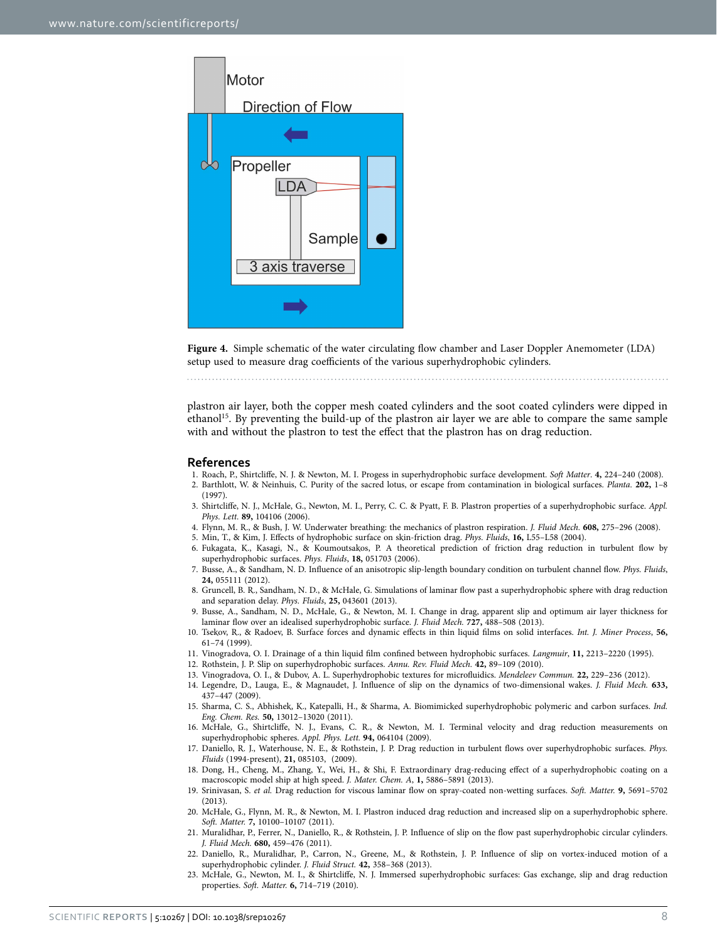

<span id="page-7-9"></span>**Figure 4.** Simple schematic of the water circulating flow chamber and Laser Doppler Anemometer (LDA) setup used to measure drag coefficients of the various superhydrophobic cylinders.

plastron air layer, both the copper mesh coated cylinders and the soot coated cylinders were dipped in ethano[l15](#page-7-5). By preventing the build-up of the plastron air layer we are able to compare the same sample with and without the plastron to test the effect that the plastron has on drag reduction.

#### **References**

- <span id="page-7-0"></span>1. Roach, P., Shirtcliffe, N. J. & Newton, M. I. Progess in superhydrophobic surface development. *Soft Matter*. **4,** 224–240 (2008).
- <span id="page-7-1"></span>2. Barthlott, W. & Neinhuis, C. Purity of the sacred lotus, or escape from contamination in biological surfaces. *Planta.* **202,** 1–8 (1997).
- <span id="page-7-2"></span>3. Shirtcliffe, N. J., McHale, G., Newton, M. I., Perry, C. C. & Pyatt, F. B. Plastron properties of a superhydrophobic surface. *Appl. Phys. Lett.* **89,** 104106 (2006).
- <span id="page-7-3"></span>4. Flynn, M. R., & Bush, J. W. Underwater breathing: the mechanics of plastron respiration. *J. Fluid Mech.* **608,** 275–296 (2008).
- <span id="page-7-4"></span>5. Min, T., & Kim, J. Effects of hydrophobic surface on skin-friction drag. *Phys. Fluids*, **16,** L55–L58 (2004).
- 6. Fukagata, K., Kasagi, N., & Koumoutsakos, P. A theoretical prediction of friction drag reduction in turbulent flow by superhydrophobic surfaces. *Phys. Fluids*, **18,** 051703 (2006).
- 7. Busse, A., & Sandham, N. D. Influence of an anisotropic slip-length boundary condition on turbulent channel flow. *Phys. Fluids*, **24,** 055111 (2012).
- 8. Gruncell, B. R., Sandham, N. D., & McHale, G. Simulations of laminar flow past a superhydrophobic sphere with drag reduction and separation delay. *Phys. Fluids*, **25,** 043601 (2013).
- <span id="page-7-6"></span>9. Busse, A., Sandham, N. D., McHale, G., & Newton, M. I. Change in drag, apparent slip and optimum air layer thickness for laminar flow over an idealised superhydrophobic surface. *J. Fluid Mech.* **727,** 488–508 (2013).
- 10. Tsekov, R., & Radoev, B. Surface forces and dynamic effects in thin liquid films on solid interfaces. *Int. J. Miner Process*, **56,** 61–74 (1999).
- 11. Vinogradova, O. I. Drainage of a thin liquid film confined between hydrophobic surfaces. *Langmuir*, **11,** 2213–2220 (1995).
- <span id="page-7-8"></span>12. Rothstein, J. P. Slip on superhydrophobic surfaces. *Annu. Rev. Fluid Mech.* **42,** 89–109 (2010).
- 13. Vinogradova, O. I., & Dubov, A. L. Superhydrophobic textures for microfluidics. *Mendeleev Commun.* **22,** 229–236 (2012).
- 14. Legendre, D., Lauga, E., & Magnaudet, J. Influence of slip on the dynamics of two-dimensional wakes. *J. Fluid Mech.* **633,** 437–447 (2009).
- <span id="page-7-5"></span>15. Sharma, C. S., Abhishek, K., Katepalli, H., & Sharma, A. Biomimicked superhydrophobic polymeric and carbon surfaces. *Ind. Eng. Chem. Res.* **50,** 13012–13020 (2011).
- 16. McHale, G., Shirtcliffe, N. J., Evans, C. R., & Newton, M. I. Terminal velocity and drag reduction measurements on superhydrophobic spheres. *Appl. Phys. Lett.* **94,** 064104 (2009).
- 17. Daniello, R. J., Waterhouse, N. E., & Rothstein, J. P. Drag reduction in turbulent flows over superhydrophobic surfaces. *Phys. Fluids* (1994-present), **21,** 085103, (2009).
- 18. Dong, H., Cheng, M., Zhang, Y., Wei, H., & Shi, F. Extraordinary drag-reducing effect of a superhydrophobic coating on a macroscopic model ship at high speed. *J. Mater. Chem. A*, **1,** 5886–5891 (2013).
- 19. Srinivasan, S. *et al.* Drag reduction for viscous laminar flow on spray-coated non-wetting surfaces. *Soft. Matter.* **9,** 5691–5702 (2013).
- 20. McHale, G., Flynn, M. R., & Newton, M. I. Plastron induced drag reduction and increased slip on a superhydrophobic sphere. *Soft. Matter.* **7,** 10100–10107 (2011).
- 21. Muralidhar, P., Ferrer, N., Daniello, R., & Rothstein, J. P. Influence of slip on the flow past superhydrophobic circular cylinders. *J. Fluid Mech.* **680,** 459–476 (2011).
- 22. Daniello, R., Muralidhar, P., Carron, N., Greene, M., & Rothstein, J. P. Influence of slip on vortex-induced motion of a superhydrophobic cylinder. *J. Fluid Struct.* **42,** 358–368 (2013).
- <span id="page-7-7"></span>23. McHale, G., Newton, M. I., & Shirtcliffe, N. J. Immersed superhydrophobic surfaces: Gas exchange, slip and drag reduction properties. *Soft. Matter.* **6,** 714–719 (2010).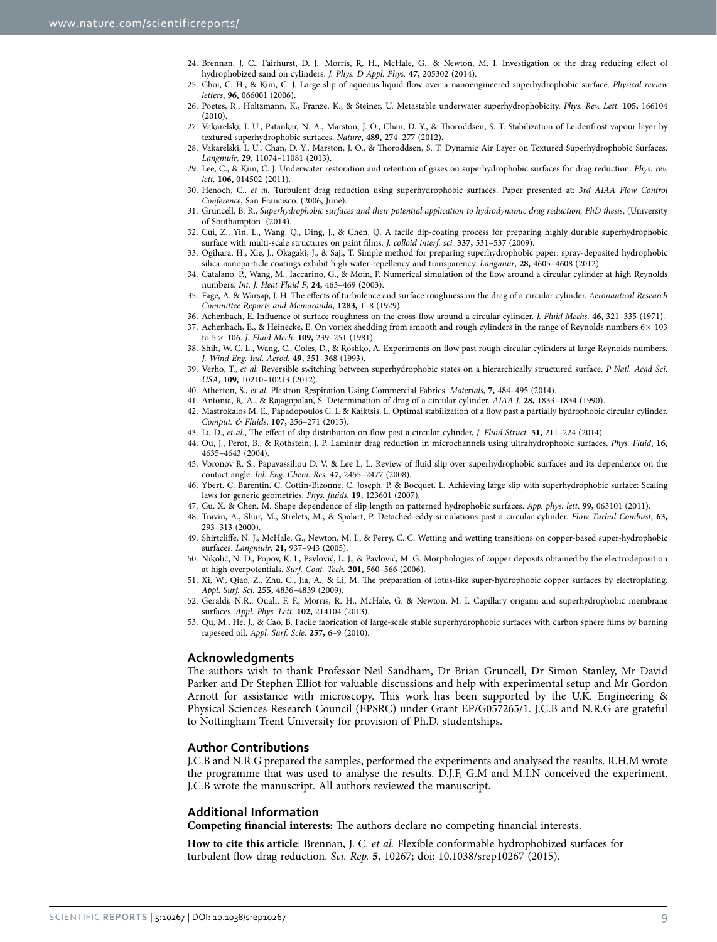- <span id="page-8-10"></span>24. Brennan, J. C., Fairhurst, D. J., Morris, R. H., McHale, G., & Newton, M. I. Investigation of the drag reducing effect of hydrophobized sand on cylinders. *J. Phys. D Appl. Phys.* **47,** 205302 (2014).
- <span id="page-8-0"></span>25. Choi, C. H., & Kim, C. J. Large slip of aqueous liquid flow over a nanoengineered superhydrophobic surface. *Physical review letters*, **96,** 066001 (2006).
- <span id="page-8-1"></span>26. Poetes, R., Holtzmann, K., Franze, K., & Steiner, U. Metastable underwater superhydrophobicity. *Phys. Rev. Lett.* **105,** 166104 (2010).
- <span id="page-8-2"></span>27. Vakarelski, I. U., Patankar, N. A., Marston, J. O., Chan, D. Y., & Thoroddsen, S. T. Stabilization of Leidenfrost vapour layer by textured superhydrophobic surfaces. *Nature*, **489,** 274–277 (2012).
- 28. Vakarelski, I. U., Chan, D. Y., Marston, J. O., & Thoroddsen, S. T. Dynamic Air Layer on Textured Superhydrophobic Surfaces. *Langmuir*, **29,** 11074–11081 (2013).
- 29. Lee, C., & Kim, C. J. Underwater restoration and retention of gases on superhydrophobic surfaces for drag reduction. *Phys. rev. lett.* **106,** 014502 (2011).
- <span id="page-8-3"></span>30. Henoch, C., *et al.* Turbulent drag reduction using superhydrophobic surfaces. Paper presented at: *3rd AIAA Flow Control Conference*, San Francisco. (2006, June).
- <span id="page-8-4"></span>31. Gruncell, B. R., *Superhydrophobic surfaces and their potential application to hydrodynamic drag reduction, PhD thesis*, (University of Southampton (2014).
- <span id="page-8-5"></span>32. Cui, Z., Yin, L., Wang, Q., Ding, J., & Chen, Q. A facile dip-coating process for preparing highly durable superhydrophobic surface with multi-scale structures on paint films. *J. colloid interf. sci.* **337,** 531–537 (2009).
- <span id="page-8-6"></span>33. Ogihara, H., Xie, J., Okagaki, J., & Saji, T. Simple method for preparing superhydrophobic paper: spray-deposited hydrophobic silica nanoparticle coatings exhibit high water-repellency and transparency. *Langmuir*, **28,** 4605–4608 (2012).
- <span id="page-8-7"></span>34. Catalano, P., Wang, M., Iaccarino, G., & Moin, P. Numerical simulation of the flow around a circular cylinder at high Reynolds numbers. *Int. J. Heat Fluid F*, **24,** 463–469 (2003).
- <span id="page-8-8"></span>35. Fage, A. & Warsap, J. H. The effects of turbulence and surface roughness on the drag of a circular cylinder. *Aeronautical Research Committee Reports and Memoranda*, **1283,** 1–8 (1929).
- 36. Achenbach, E. Influence of surface roughness on the cross-flow around a circular cylinder. *J. Fluid Mechs.* **46,** 321–335 (1971).
- 37. Achenbach, E., & Heinecke, E. On vortex shedding from smooth and rough cylinders in the range of Reynolds numbers 6× 103 to 5× 106. *J. Fluid Mech.* **109,** 239–251 (1981).
- 38. Shih, W. C. L., Wang, C., Coles, D., & Roshko, A. Experiments on flow past rough circular cylinders at large Reynolds numbers. *J. Wind Eng. Ind. Aerod.* **49,** 351–368 (1993).
- 39. Verho, T., *et al.* Reversible switching between superhydrophobic states on a hierarchically structured surface. *P Natl. Acad Sci. USA*, **109,** 10210–10213 (2012).
- <span id="page-8-9"></span>40. Atherton, S., *et al.* Plastron Respiration Using Commercial Fabrics. *Materials*, **7,** 484–495 (2014).
- <span id="page-8-11"></span>41. Antonia, R. A., & Rajagopalan, S. Determination of drag of a circular cylinder. *AIAA J.* **28,** 1833–1834 (1990).
- <span id="page-8-12"></span>42. Mastrokalos M. E., Papadopoulos C. I. & Kaiktsis. L. Optimal stabilization of a flow past a partially hydrophobic circular cylinder. *Comput. & Fluids*, **107,** 256–271 (2015).
- <span id="page-8-13"></span>43. Li, D., *et al.*, The effect of slip distribution on flow past a circular cylinder, *J. Fluid Struct.* **51,** 211–224 (2014).
- <span id="page-8-14"></span>44. Ou, J., Perot, B., & Rothstein, J. P. Laminar drag reduction in microchannels using ultrahydrophobic surfaces. *Phys. Fluid*, **16,** 4635–4643 (2004).
- <span id="page-8-15"></span>45. Voronov R. S., Papavassiliou D. V. & Lee L. L. Review of fluid slip over superhydrophobic surfaces and its dependence on the contact angle. *Inl. Eng. Chem. Res.* **47,** 2455–2477 (2008).
- <span id="page-8-16"></span>46. Ybert. C. Barentin. C. Cottin-Bizonne. C. Joseph. P. & Bocquet. L. Achieving large slip with superhydrophobic surface: Scaling laws for generic geometries. *Phys. fluids*. **19,** 123601 (2007).
- <span id="page-8-17"></span>47. Gu. X. & Chen. M. Shape dependence of slip length on patterned hydrophobic surfaces. *App. phys. lett*. **99,** 063101 (2011).
- <span id="page-8-18"></span>48. Travin, A., Shur, M., Strelets, M., & Spalart, P. Detached-eddy simulations past a circular cylinder. *Flow Turbul Combust*, **63,** 293–313 (2000).
- <span id="page-8-19"></span>49. Shirtcliffe, N. J., McHale, G., Newton, M. I., & Perry, C. C. Wetting and wetting transitions on copper-based super-hydrophobic surfaces. *Langmuir*, **21,** 937–943 (2005).
- 50. Nikolić, N. D., Popov, K. I., Pavlović, L. J., & Pavlović, M. G. Morphologies of copper deposits obtained by the electrodeposition at high overpotentials. *Surf. Coat. Tech.* **201,** 560–566 (2006).
- 51. Xi, W., Qiao, Z., Zhu, C., Jia, A., & Li, M. The preparation of lotus-like super-hydrophobic copper surfaces by electroplating. *Appl. Surf. Sci.* **255,** 4836–4839 (2009).
- <span id="page-8-20"></span>52. Geraldi, N.R., Ouali, F. F., Morris, R. H., McHale, G. & Newton, M. I. Capillary origami and superhydrophobic membrane surfaces. *Appl. Phys. Lett.* **102,** 214104 (2013).
- <span id="page-8-21"></span>53. Qu, M., He, J., & Cao, B. Facile fabrication of large-scale stable superhydrophobic surfaces with carbon sphere films by burning rapeseed oil. *Appl. Surf. Scie.* **257,** 6–9 (2010).

#### **Acknowledgments**

The authors wish to thank Professor Neil Sandham, Dr Brian Gruncell, Dr Simon Stanley, Mr David Parker and Dr Stephen Elliot for valuable discussions and help with experimental setup and Mr Gordon Arnott for assistance with microscopy. This work has been supported by the U.K. Engineering & Physical Sciences Research Council (EPSRC) under Grant EP/G057265/1. J.C.B and N.R.G are grateful to Nottingham Trent University for provision of Ph.D. studentships.

### **Author Contributions**

J.C.B and N.R.G prepared the samples, performed the experiments and analysed the results. R.H.M wrote the programme that was used to analyse the results. D.J.F, G.M and M.I.N conceived the experiment. J.C.B wrote the manuscript. All authors reviewed the manuscript.

#### **Additional Information**

**Competing financial interests:** The authors declare no competing financial interests.

**How to cite this article**: Brennan, J. C. *et al.* Flexible conformable hydrophobized surfaces for turbulent flow drag reduction. *Sci. Rep.* **5**, 10267; doi: 10.1038/srep10267 (2015).